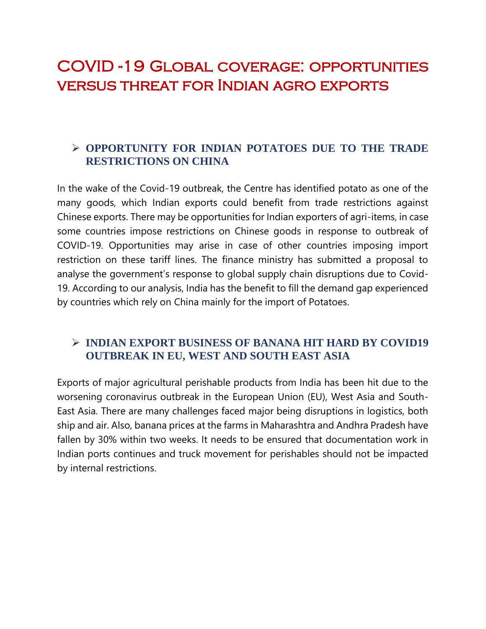## COVID -19 Global coverage: opportunities versus threat for Indian agro exports

## **OPPORTUNITY FOR INDIAN POTATOES DUE TO THE TRADE RESTRICTIONS ON CHINA**

In the wake of the Covid-19 outbreak, the Centre has identified potato as one of the many goods, which Indian exports could benefit from trade restrictions against Chinese exports. There may be opportunities for Indian exporters of agri-items, in case some countries impose restrictions on Chinese goods in response to outbreak of COVID-19. Opportunities may arise in case of other countries imposing import restriction on these tariff lines. The finance ministry has submitted a proposal to analyse the government's response to global supply chain disruptions due to Covid-19. According to our analysis, India has the benefit to fill the demand gap experienced by countries which rely on China mainly for the import of Potatoes.

#### **INDIAN EXPORT BUSINESS OF BANANA HIT HARD BY COVID19 OUTBREAK IN EU, WEST AND SOUTH EAST ASIA**

Exports of major agricultural perishable products from India has been hit due to the worsening coronavirus outbreak in the European Union (EU), West Asia and South-East Asia. There are many challenges faced major being disruptions in logistics, both ship and air. Also, banana prices at the farms in Maharashtra and Andhra Pradesh have fallen by 30% within two weeks. It needs to be ensured that documentation work in Indian ports continues and truck movement for perishables should not be impacted by internal restrictions.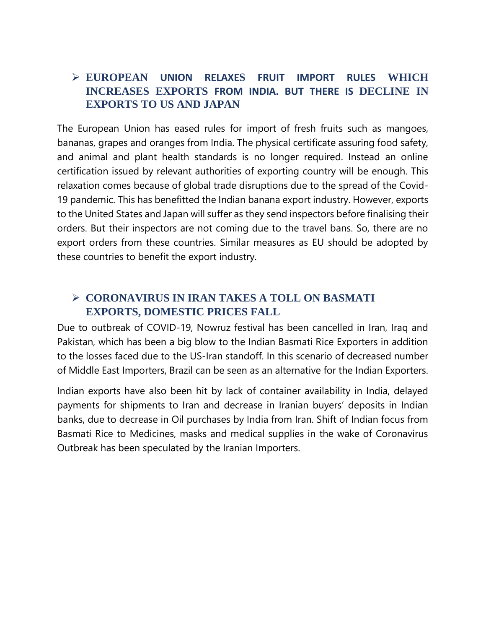## **EUROPEAN UNION RELAXES FRUIT IMPORT RULES WHICH INCREASES EXPORTS FROM INDIA. BUT THERE IS DECLINE IN EXPORTS TO US AND JAPAN**

The European Union has eased rules for import of fresh fruits such as mangoes, bananas, grapes and oranges from India. The physical certificate assuring food safety, and animal and plant health standards is no longer required. Instead an online certification issued by relevant authorities of exporting country will be enough. This relaxation comes because of global trade disruptions due to the spread of the Covid-19 pandemic. This has benefitted the Indian banana export industry. However, exports to the United States and Japan will suffer as they send inspectors before finalising their orders. But their inspectors are not coming due to the travel bans. So, there are no export orders from these countries. Similar measures as EU should be adopted by these countries to benefit the export industry.

## **CORONAVIRUS IN IRAN TAKES A TOLL ON BASMATI EXPORTS, DOMESTIC PRICES FALL**

Due to outbreak of COVID-19, Nowruz festival has been cancelled in Iran, Iraq and Pakistan, which has been a big blow to the Indian Basmati Rice Exporters in addition to the losses faced due to the US-Iran standoff. In this scenario of decreased number of Middle East Importers, Brazil can be seen as an alternative for the Indian Exporters.

Indian exports have also been hit by lack of container availability in India, delayed payments for shipments to Iran and decrease in Iranian buyers' deposits in Indian banks, due to decrease in Oil purchases by India from Iran. Shift of Indian focus from Basmati Rice to Medicines, masks and medical supplies in the wake of Coronavirus Outbreak has been speculated by the Iranian Importers.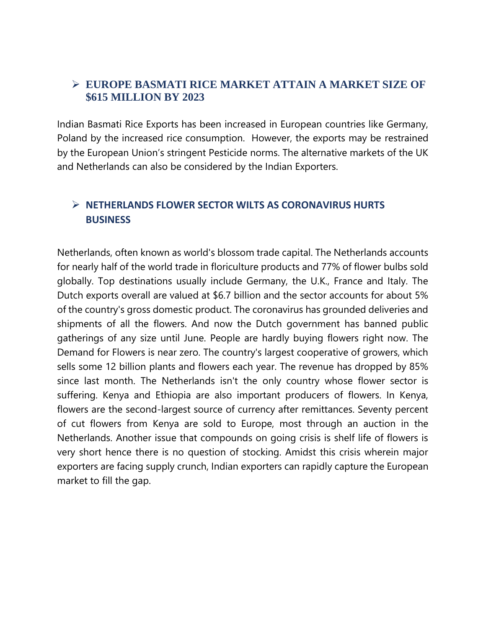#### **EUROPE BASMATI RICE MARKET ATTAIN A MARKET SIZE OF \$615 MILLION BY 2023**

Indian Basmati Rice Exports has been increased in European countries like Germany, Poland by the increased rice consumption. However, the exports may be restrained by the European Union's stringent Pesticide norms. The alternative markets of the UK and Netherlands can also be considered by the Indian Exporters.

## **NETHERLANDS FLOWER SECTOR WILTS AS CORONAVIRUS HURTS BUSINESS**

Netherlands, often known as world's blossom trade capital. The Netherlands accounts for nearly half of the world trade in floriculture products and 77% of flower bulbs sold globally. Top destinations usually include Germany, the U.K., France and Italy. The Dutch exports overall are valued at \$6.7 billion and the sector accounts for about 5% of the country's gross domestic product. The coronavirus has grounded deliveries and shipments of all the flowers. And now the Dutch government has banned public gatherings of any size until June. People are hardly buying flowers right now. The Demand for Flowers is near zero. The country's largest cooperative of growers, which sells some 12 billion plants and flowers each year. The revenue has dropped by 85% since last month. The Netherlands isn't the only country whose flower sector is suffering. Kenya and Ethiopia are also important producers of flowers. In Kenya, flowers are the second-largest source of currency after remittances. Seventy percent of cut flowers from Kenya are sold to Europe, most through an auction in the Netherlands. Another issue that compounds on going crisis is shelf life of flowers is very short hence there is no question of stocking. Amidst this crisis wherein major exporters are facing supply crunch, Indian exporters can rapidly capture the European market to fill the gap.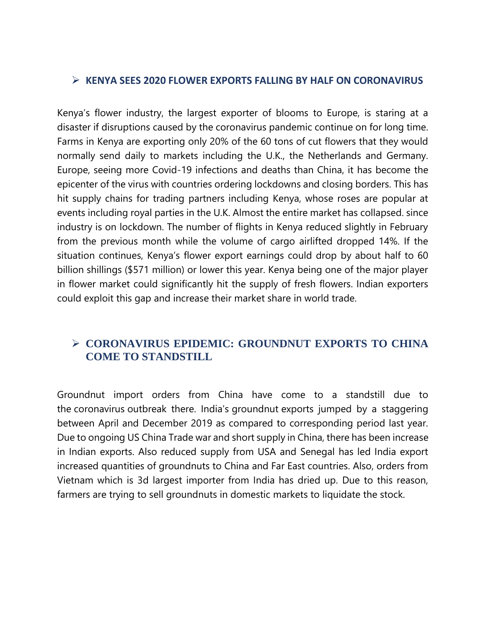#### **KENYA SEES 2020 FLOWER EXPORTS FALLING BY HALF ON CORONAVIRUS**

Kenya's flower industry, the largest exporter of blooms to Europe, is staring at a disaster if disruptions caused by the coronavirus pandemic continue on for long time. Farms in Kenya are exporting only 20% of the 60 tons of cut flowers that they would normally send daily to markets including the U.K., the Netherlands and Germany. Europe, seeing more Covid-19 infections and deaths than China, it has become the epicenter of the virus with countries ordering lockdowns and closing borders. This has hit supply chains for trading partners including Kenya, whose roses are popular at events including royal parties in the U.K. Almost the entire market has collapsed. since industry is on lockdown. The number of flights in Kenya reduced slightly in February from the previous month while the volume of cargo airlifted dropped 14%. If the situation continues, Kenya's flower export earnings could drop by about half to 60 billion shillings (\$571 million) or lower this year. Kenya being one of the major player in flower market could significantly hit the supply of fresh flowers. Indian exporters could exploit this gap and increase their market share in world trade.

## **CORONAVIRUS EPIDEMIC: GROUNDNUT EXPORTS TO CHINA COME TO STANDSTILL**

Groundnut import orders from China have come to a standstill due to the [coronavirus](https://www.business-standard.com/about/what-is-coronavirus) outbreak there. India's [groundnut](https://www.business-standard.com/topic/groundnut) exports jumped by a staggering between April and December 2019 as compared to corresponding period last year. Due to ongoing US China Trade war and short supply in China, there has been increase in Indian exports. Also reduced supply from USA and Senegal has led India export increased quantities of groundnuts to China and Far East countries. Also, orders from Vietnam which is 3d largest importer from India has dried up. Due to this reason, farmers are trying to sell groundnuts in domestic markets to liquidate the stock.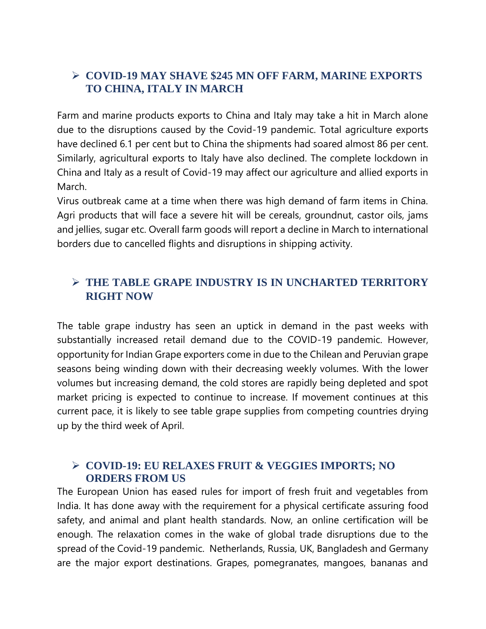## **COVID-19 MAY SHAVE \$245 MN OFF FARM, MARINE EXPORTS TO CHINA, ITALY IN MARCH**

Farm and marine products exports to China and Italy may take a hit in March alone due to the disruptions caused by the Covid-19 pandemic. Total agriculture exports have declined 6.1 per cent but to China the shipments had soared almost 86 per cent. Similarly, agricultural exports to Italy have also declined. The complete lockdown in China and Italy as a result of Covid-19 may affect our agriculture and allied exports in March.

Virus outbreak came at a time when there was high demand of farm items in China. Agri products that will face a severe hit will be cereals, groundnut, castor oils, jams and jellies, sugar etc. Overall farm goods will report a decline in March to international borders due to cancelled flights and disruptions in shipping activity.

## **THE TABLE GRAPE INDUSTRY IS IN UNCHARTED TERRITORY RIGHT NOW**

The table grape industry has seen an uptick in demand in the past weeks with substantially increased retail demand due to the COVID-19 pandemic. However, opportunity for Indian Grape exporters come in due to the Chilean and Peruvian grape seasons being winding down with their decreasing weekly volumes. With the lower volumes but increasing demand, the cold stores are rapidly being depleted and spot market pricing is expected to continue to increase. If movement continues at this current pace, it is likely to see table grape supplies from competing countries drying up by the third week of April.

#### **COVID-19: EU RELAXES FRUIT & VEGGIES IMPORTS; NO ORDERS FROM US**

The European Union has eased rules for import of fresh fruit and vegetables from India. It has done away with the requirement for a physical certificate assuring food safety, and animal and plant health standards. Now, an online certification will be enough. The relaxation comes in the wake of global trade disruptions due to the spread of the Covid-19 pandemic. Netherlands, Russia, UK, Bangladesh and Germany are the major export destinations. Grapes, pomegranates, mangoes, bananas and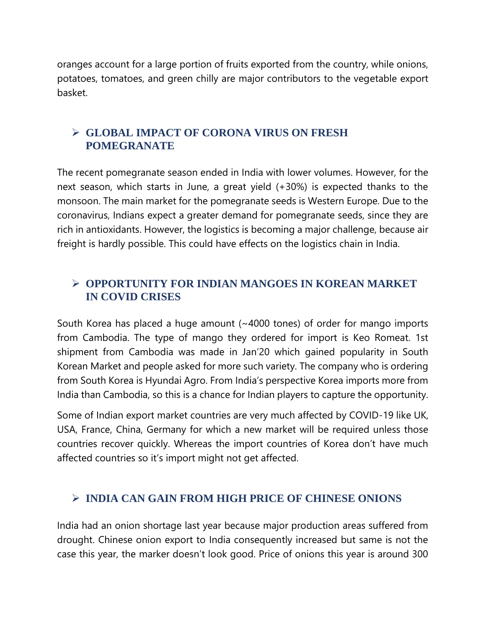oranges account for a large portion of fruits exported from the country, while onions, potatoes, tomatoes, and green chilly are major contributors to the vegetable export basket.

## **GLOBAL IMPACT OF CORONA VIRUS ON FRESH POMEGRANATE**

The recent pomegranate season ended in India with lower volumes. However, for the next season, which starts in June, a great yield (+30%) is expected thanks to the monsoon. The main market for the pomegranate seeds is Western Europe. Due to the coronavirus, Indians expect a greater demand for pomegranate seeds, since they are rich in antioxidants. However, the logistics is becoming a major challenge, because air freight is hardly possible. This could have effects on the logistics chain in India.

## **OPPORTUNITY FOR INDIAN MANGOES IN KOREAN MARKET IN COVID CRISES**

South Korea has placed a huge amount (~4000 tones) of order for mango imports from Cambodia. The type of mango they ordered for import is Keo Romeat. 1st shipment from Cambodia was made in Jan'20 which gained popularity in South Korean Market and people asked for more such variety. The company who is ordering from South Korea is Hyundai Agro. From India's perspective Korea imports more from India than Cambodia, so this is a chance for Indian players to capture the opportunity.

Some of Indian export market countries are very much affected by COVID-19 like UK, USA, France, China, Germany for which a new market will be required unless those countries recover quickly. Whereas the import countries of Korea don't have much affected countries so it's import might not get affected.

## **INDIA CAN GAIN FROM HIGH PRICE OF CHINESE ONIONS**

India had an onion shortage last year because major production areas suffered from drought. Chinese onion export to India consequently increased but same is not the case this year, the marker doesn't look good. Price of onions this year is around 300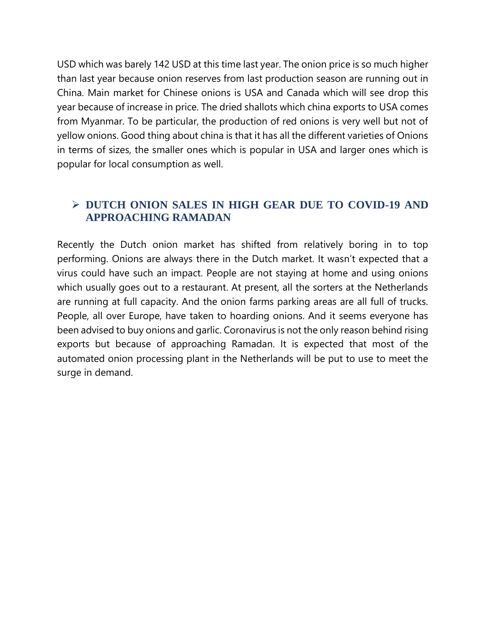USD which was barely 142 USD at this time last year. The onion price is so much higher than last year because onion reserves from last production season are running out in China. Main market for Chinese onions is USA and Canada which will see drop this year because of increase in price. The dried shallots which china exports to USA comes from Myanmar. To be particular, the production of red onions is very well but not of yellow onions. Good thing about china is that it has all the different varieties of Onions in terms of sizes, the smaller ones which is popular in USA and larger ones which is popular for local consumption as well.

## **DUTCH ONION SALES IN HIGH GEAR DUE TO COVID-19 AND APPROACHING RAMADAN**

Recently the Dutch onion market has shifted from relatively boring in to top performing. Onions are always there in the Dutch market. It wasn't expected that a virus could have such an impact. People are not staying at home and using onions which usually goes out to a restaurant. At present, all the sorters at the Netherlands are running at full capacity. And the onion farms parking areas are all full of trucks. People, all over Europe, have taken to hoarding onions. And it seems everyone has been advised to buy onions and garlic. Coronavirus is not the only reason behind rising exports but because of approaching Ramadan. It is expected that most of the automated onion processing plant in the Netherlands will be put to use to meet the surge in demand.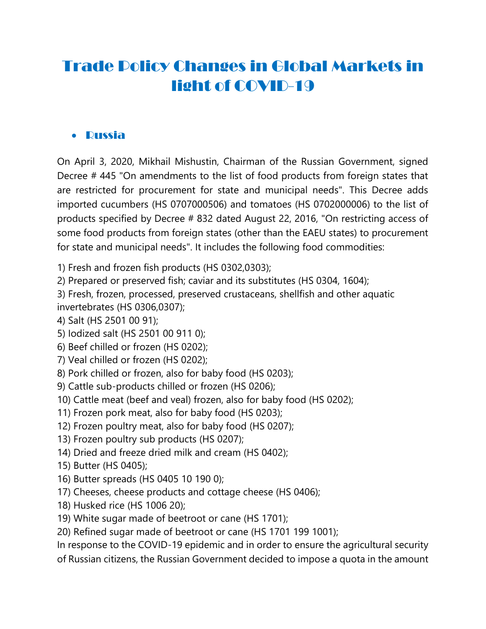# Trade Policy Changes in Global Markets in light of COVID-19

## Russia

On April 3, 2020, Mikhail Mishustin, Chairman of the Russian Government, signed Decree # 445 "On amendments to the list of food products from foreign states that are restricted for procurement for state and municipal needs". This Decree adds imported cucumbers (HS 0707000506) and tomatoes (HS 0702000006) to the list of products specified by Decree # 832 dated August 22, 2016, "On restricting access of some food products from foreign states (other than the EAEU states) to procurement for state and municipal needs". It includes the following food commodities:

1) Fresh and frozen fish products (HS 0302,0303);

2) Prepared or preserved fish; caviar and its substitutes (HS 0304, 1604);

3) Fresh, frozen, processed, preserved crustaceans, shellfish and other aquatic invertebrates (HS 0306,0307);

4) Salt (HS 2501 00 91);

- 5) Iodized salt (HS 2501 00 911 0);
- 6) Beef chilled or frozen (HS 0202);
- 7) Veal chilled or frozen (HS 0202);
- 8) Pork chilled or frozen, also for baby food (HS 0203);
- 9) Cattle sub-products chilled or frozen (HS 0206);
- 10) Cattle meat (beef and veal) frozen, also for baby food (HS 0202);
- 11) Frozen pork meat, also for baby food (HS 0203);
- 12) Frozen poultry meat, also for baby food (HS 0207);
- 13) Frozen poultry sub products (HS 0207);
- 14) Dried and freeze dried milk and cream (HS 0402);
- 15) Butter (HS 0405);
- 16) Butter spreads (HS 0405 10 190 0);
- 17) Cheeses, cheese products and cottage cheese (HS 0406);
- 18) Husked rice (HS 1006 20);
- 19) White sugar made of beetroot or cane (HS 1701);

20) Refined sugar made of beetroot or cane (HS 1701 199 1001);

In response to the COVID-19 epidemic and in order to ensure the agricultural security

of Russian citizens, the Russian Government decided to impose a quota in the amount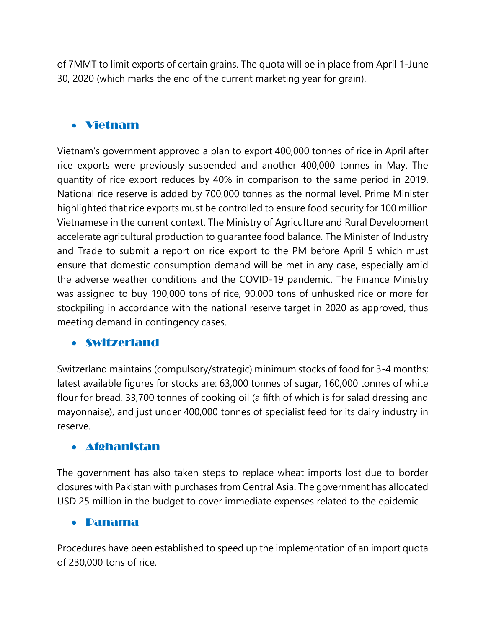of 7MMT to limit exports of certain grains. The quota will be in place from April 1-June 30, 2020 (which marks the end of the current marketing year for grain).

## Vietnam

Vietnam's government approved a plan to export 400,000 tonnes of rice in April after rice exports were previously suspended and another 400,000 tonnes in May. The quantity of rice export reduces by 40% in comparison to the same period in 2019. National rice reserve is added by 700,000 tonnes as the normal level. Prime Minister highlighted that rice exports must be controlled to ensure food security for 100 million Vietnamese in the current context. The Ministry of Agriculture and Rural Development accelerate agricultural production to guarantee food balance. The Minister of Industry and Trade to submit a report on rice export to the PM before April 5 which must ensure that domestic consumption demand will be met in any case, especially amid the adverse weather conditions and the COVID-19 pandemic. The Finance Ministry was assigned to buy 190,000 tons of rice, 90,000 tons of unhusked rice or more for stockpiling in accordance with the national reserve target in 2020 as approved, thus meeting demand in contingency cases.

#### Switzerland

Switzerland maintains (compulsory/strategic) minimum stocks of food for 3-4 months; latest available figures for stocks are: 63,000 tonnes of sugar, 160,000 tonnes of white flour for bread, 33,700 tonnes of cooking oil (a fifth of which is for salad dressing and mayonnaise), and just under 400,000 tonnes of specialist feed for its dairy industry in reserve.

#### Afghanistan

The government has also taken steps to replace wheat imports lost due to border closures with Pakistan with purchases from Central Asia. The government has allocated USD 25 million in the budget to cover immediate expenses related to the epidemic

#### Panama

Procedures have been established to speed up the implementation of an import quota of 230,000 tons of rice.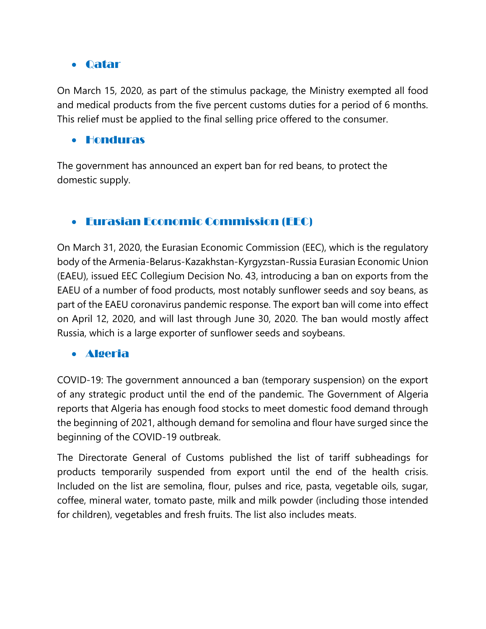## Qatar

On March 15, 2020, as part of the stimulus package, the Ministry exempted all food and medical products from the five percent customs duties for a period of 6 months. This relief must be applied to the final selling price offered to the consumer.

#### Honduras

The government has announced an expert ban for red beans, to protect the domestic supply.

## Eurasian Economic Commission (EEC)

On March 31, 2020, the Eurasian Economic Commission (EEC), which is the regulatory body of the Armenia-Belarus-Kazakhstan-Kyrgyzstan-Russia Eurasian Economic Union (EAEU), issued EEC Collegium Decision No. 43, introducing a ban on exports from the EAEU of a number of food products, most notably sunflower seeds and soy beans, as part of the EAEU coronavirus pandemic response. The export ban will come into effect on April 12, 2020, and will last through June 30, 2020. The ban would mostly affect Russia, which is a large exporter of sunflower seeds and soybeans.

## Algeria

COVID-19: The government announced a ban (temporary suspension) on the export of any strategic product until the end of the pandemic. The Government of Algeria reports that Algeria has enough food stocks to meet domestic food demand through the beginning of 2021, although demand for semolina and flour have surged since the beginning of the COVID-19 outbreak.

The Directorate General of Customs published the list of tariff subheadings for products temporarily suspended from export until the end of the health crisis. Included on the list are semolina, flour, pulses and rice, pasta, vegetable oils, sugar, coffee, mineral water, tomato paste, milk and milk powder (including those intended for children), vegetables and fresh fruits. The list also includes meats.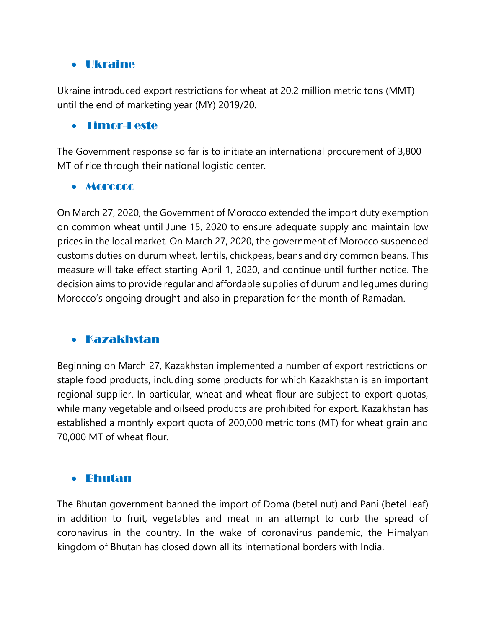#### Ukraine

Ukraine introduced export restrictions for wheat at 20.2 million metric tons (MMT) until the end of marketing year (MY) 2019/20.

#### Timor-Leste

The Government response so far is to initiate an international procurement of 3,800 MT of rice through their national logistic center.

#### Morocco

On March 27, 2020, the Government of Morocco extended the import duty exemption on common wheat until June 15, 2020 to ensure adequate supply and maintain low prices in the local market. On March 27, 2020, the government of Morocco suspended customs duties on durum wheat, lentils, chickpeas, beans and dry common beans. This measure will take effect starting April 1, 2020, and continue until further notice. The decision aims to provide regular and affordable supplies of durum and legumes during Morocco's ongoing drought and also in preparation for the month of Ramadan.

#### Kazakhstan

Beginning on March 27, Kazakhstan implemented a number of export restrictions on staple food products, including some products for which Kazakhstan is an important regional supplier. In particular, wheat and wheat flour are subject to export quotas, while many vegetable and oilseed products are prohibited for export. Kazakhstan has established a monthly export quota of 200,000 metric tons (MT) for wheat grain and 70,000 MT of wheat flour.

#### Bhutan

The Bhutan government banned the import of Doma (betel nut) and Pani (betel leaf) in addition to fruit, vegetables and meat in an attempt to curb the spread of coronavirus in the country. In the wake of coronavirus pandemic, the Himalyan kingdom of Bhutan has closed down all its international borders with India.